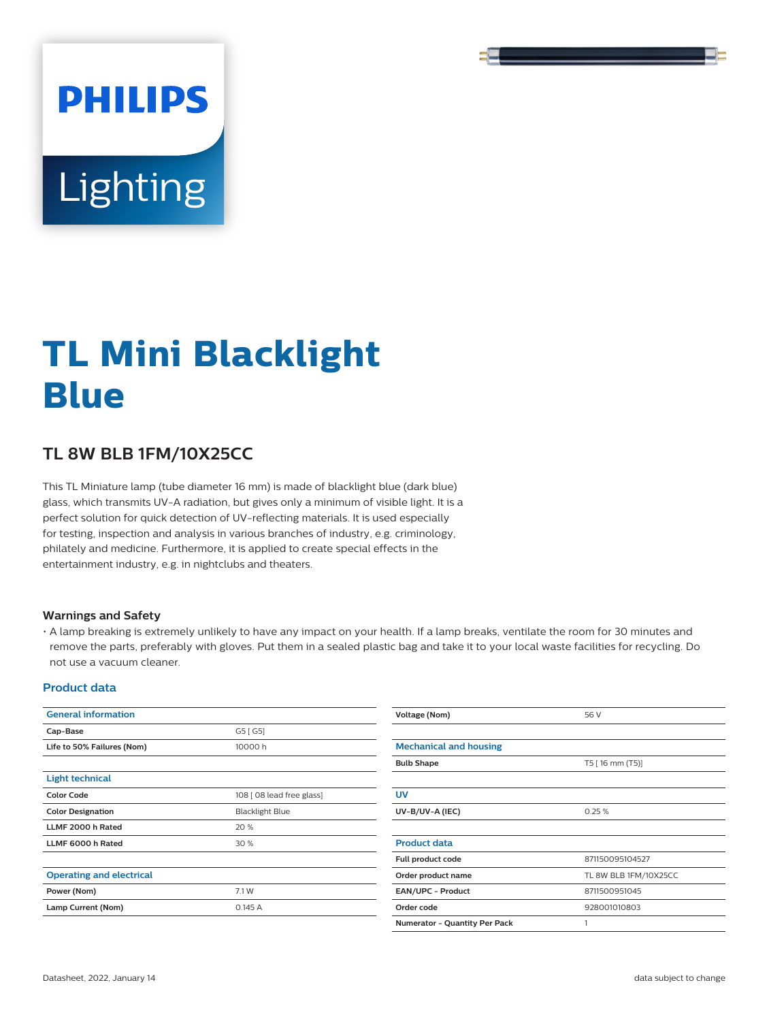

# **Lighting**

**PHILIPS** 

# **TL Mini Blacklight Blue**

## **TL 8W BLB 1FM/10X25CC**

This TL Miniature lamp (tube diameter 16 mm) is made of blacklight blue (dark blue) glass, which transmits UV-A radiation, but gives only a minimum of visible light. It is a perfect solution for quick detection of UV-reflecting materials. It is used especially for testing, inspection and analysis in various branches of industry, e.g. criminology, philately and medicine. Furthermore, it is applied to create special effects in the entertainment industry, e.g. in nightclubs and theaters.

#### **Warnings and Safety**

• A lamp breaking is extremely unlikely to have any impact on your health. If a lamp breaks, ventilate the room for 30 minutes and remove the parts, preferably with gloves. Put them in a sealed plastic bag and take it to your local waste facilities for recycling. Do not use a vacuum cleaner.

#### **Product data**

| <b>General information</b>      |                           | Voltage (Nom)                        | 56 V                  |  |
|---------------------------------|---------------------------|--------------------------------------|-----------------------|--|
| Cap-Base                        | G5 [G5]                   |                                      |                       |  |
| Life to 50% Failures (Nom)      | 10000h                    | <b>Mechanical and housing</b>        |                       |  |
|                                 |                           | <b>Bulb Shape</b>                    | T5 [ 16 mm (T5)]      |  |
| <b>Light technical</b>          |                           |                                      |                       |  |
| <b>Color Code</b>               | 108 [ 08 lead free glass] | <b>UV</b>                            |                       |  |
| <b>Color Designation</b>        | <b>Blacklight Blue</b>    | UV-B/UV-A (IEC)                      | 0.25%                 |  |
| LLMF 2000 h Rated               | 20 %                      |                                      |                       |  |
| LLMF 6000 h Rated               | 30 %                      | <b>Product data</b>                  |                       |  |
|                                 |                           | Full product code                    | 871150095104527       |  |
| <b>Operating and electrical</b> |                           | Order product name                   | TL 8W BLB 1FM/10X25CC |  |
| Power (Nom)                     | 7.1 W                     | EAN/UPC - Product<br>8711500951045   |                       |  |
| Lamp Current (Nom)              | 0.145 A                   | Order code<br>928001010803           |                       |  |
|                                 |                           | <b>Numerator - Quantity Per Pack</b> |                       |  |